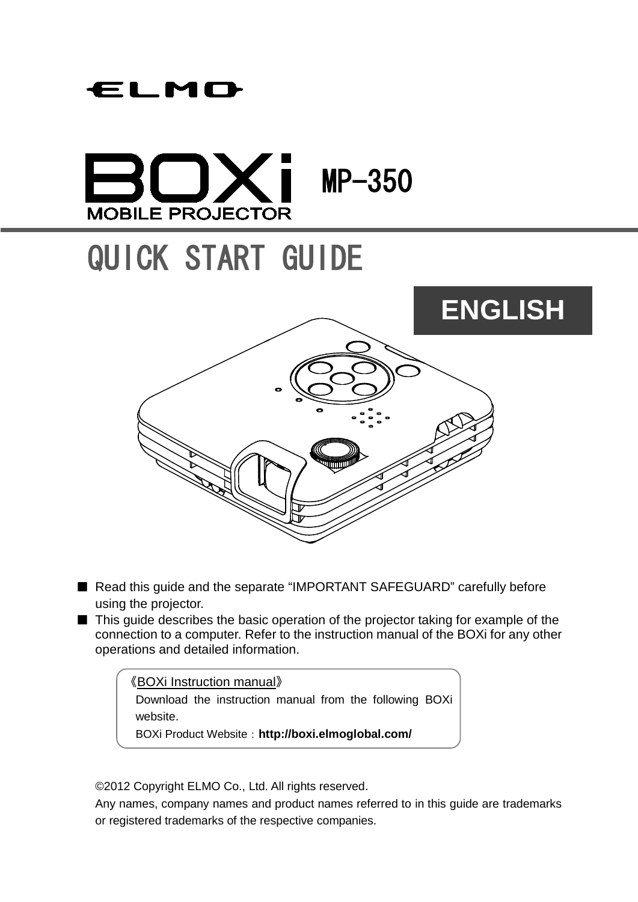# ELMO

# $\mathsf{I} \times \mathsf{I}$  MP-350 **MOBILE PROJECTOR**

# QUICK START GUIDE



- Read this guide and the separate "IMPORTANT SAFEGUARD" carefully before using the projector.
- This guide describes the basic operation of the projector taking for example of the connection to a computer. Refer to the instruction manual of the BOXi for any other operations and detailed information.

《BOXi Instruction manual》 Download the instruction manual from the following BOXi website. BOXi Product Website:**http://boxi.elmoglobal.com/**

©2012 Copyright ELMO Co., Ltd. All rights reserved.

Any names, company names and product names referred to in this guide are trademarks or registered trademarks of the respective companies.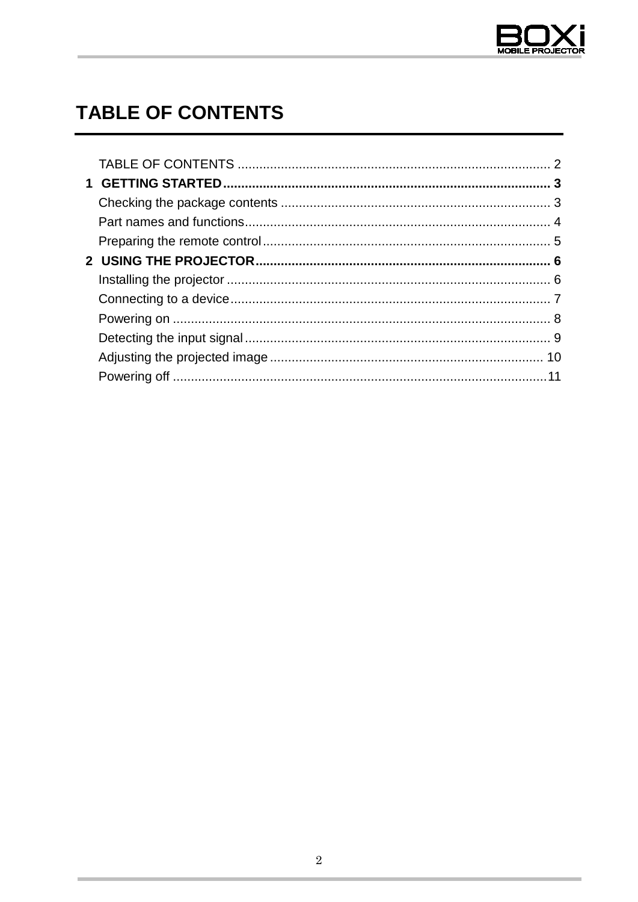

# <span id="page-1-0"></span>**TABLE OF CONTENTS**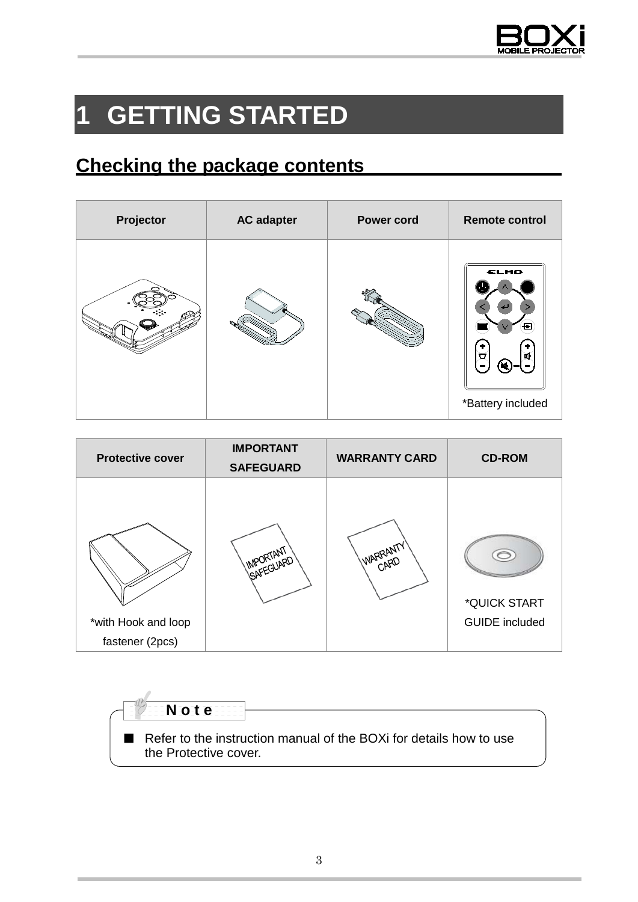

# <span id="page-2-0"></span>**1 GETTING STARTED**

## <span id="page-2-1"></span>**Checking the package contents**

| Projector | <b>AC adapter</b> | <b>Power cord</b> | <b>Remote control</b>               |
|-----------|-------------------|-------------------|-------------------------------------|
|           |                   |                   | ELMO<br>ŧ<br>ত<br>*Battery included |

| <b>Protective cover</b>                | <b>IMPORTANT</b><br><b>SAFEGUARD</b> | <b>WARRANTY CARD</b> | <b>CD-ROM</b>                         |
|----------------------------------------|--------------------------------------|----------------------|---------------------------------------|
| *with Hook and loop<br>fastener (2pcs) | IMPORTANT                            | "WARRANTY" I         | *QUICK START<br><b>GUIDE</b> included |

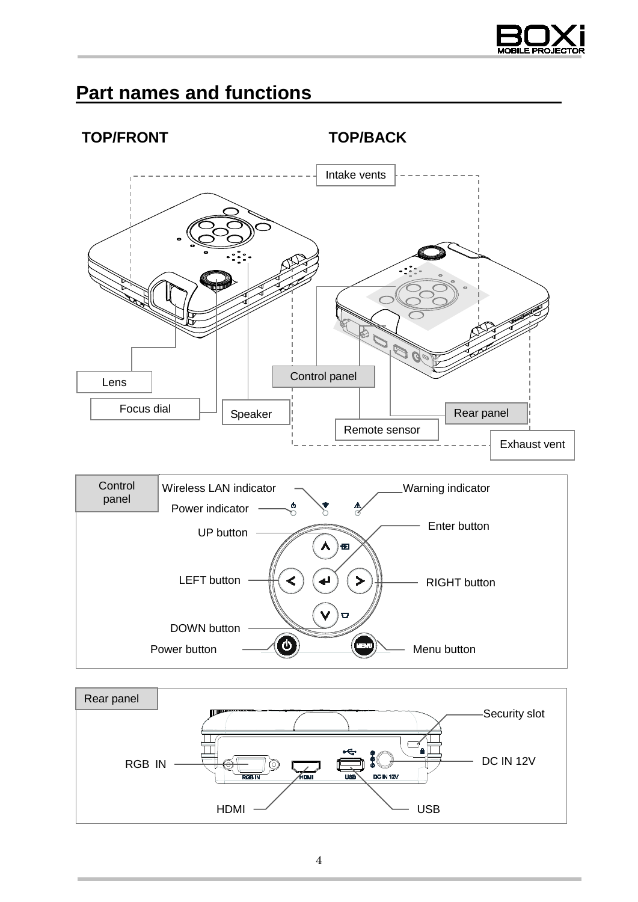

## <span id="page-3-0"></span>**Part names and functions**





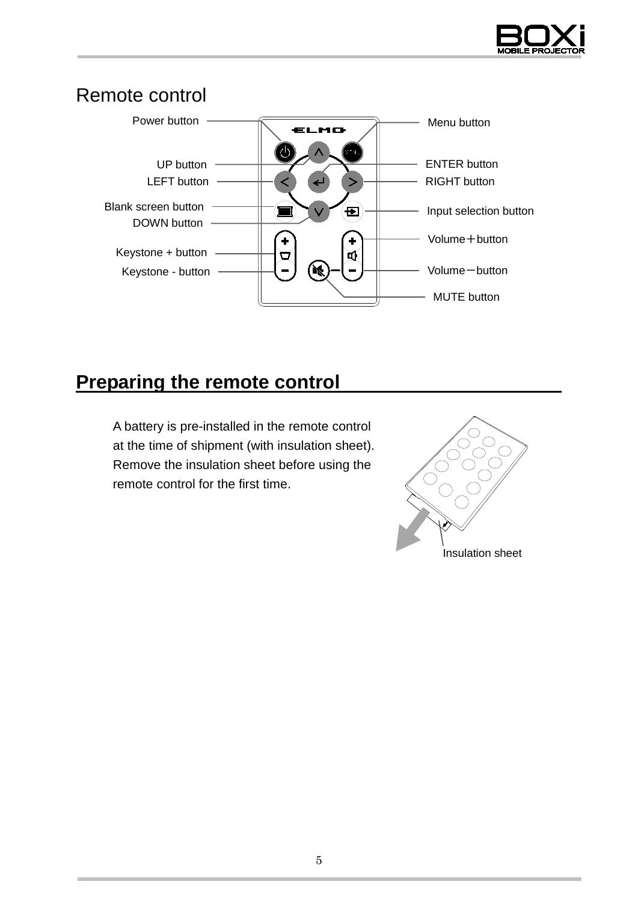

#### Remote control



### <span id="page-4-0"></span>**Preparing the remote control**

A battery is pre-installed in the remote control at the time of shipment (with insulation sheet). Remove the insulation sheet before using the remote control for the first time.

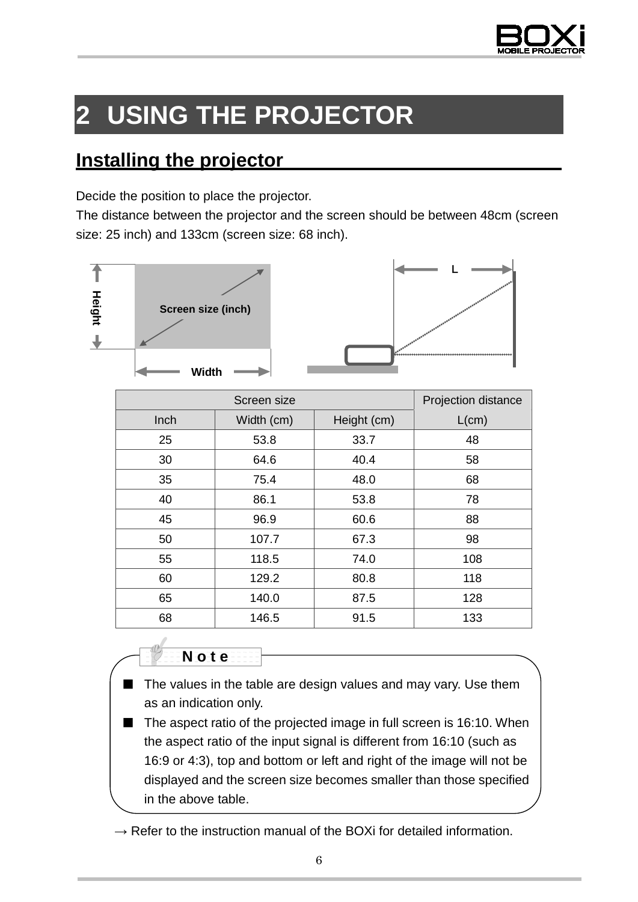

# <span id="page-5-0"></span>**2 USING THE PROJECTOR**

### <span id="page-5-1"></span>**Installing the projector**

Decide the position to place the projector.

The distance between the projector and the screen should be between 48cm (screen size: 25 inch) and 133cm (screen size: 68 inch).





|      | Projection distance |             |       |
|------|---------------------|-------------|-------|
| Inch | Width (cm)          | Height (cm) | L(cm) |
| 25   | 53.8                | 33.7        | 48    |
| 30   | 64.6                | 40.4        | 58    |
| 35   | 75.4                | 48.0        | 68    |
| 40   | 86.1                | 53.8        | 78    |
| 45   | 96.9                | 60.6        | 88    |
| 50   | 107.7               | 67.3        | 98    |
| 55   | 118.5               | 74.0        | 108   |
| 60   | 129.2               | 80.8        | 118   |
| 65   | 140.0               | 87.5        | 128   |
| 68   | 146.5               | 91.5        | 133   |



- The values in the table are design values and may vary. Use them as an indication only.
- The aspect ratio of the projected image in full screen is 16:10. When the aspect ratio of the input signal is different from 16:10 (such as 16:9 or 4:3), top and bottom or left and right of the image will not be displayed and the screen size becomes smaller than those specified in the above table.
- $\rightarrow$  Refer to the instruction manual of the BOXi for detailed information.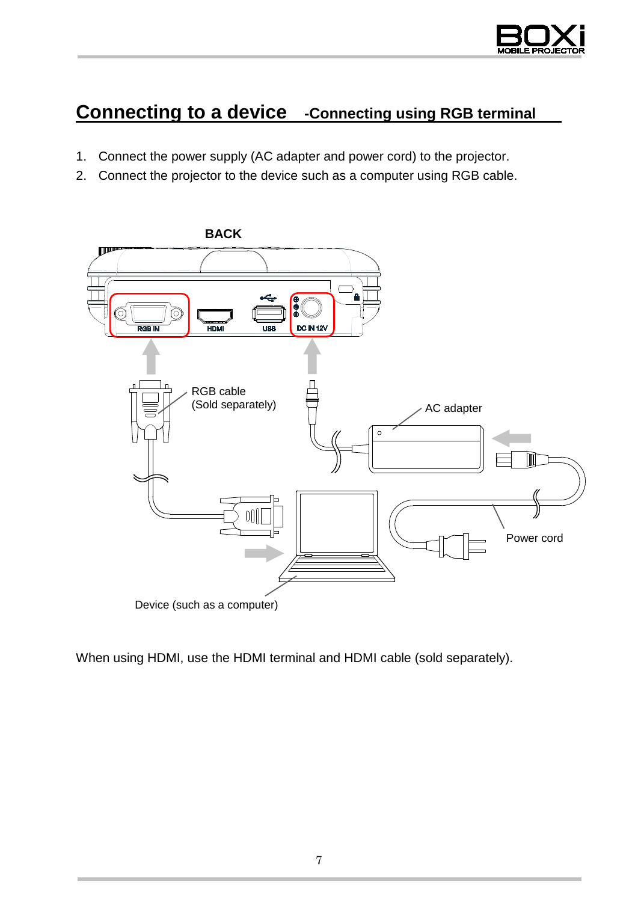

## <span id="page-6-0"></span>**Connecting to a device -Connecting using RGB terminal**

- 1. Connect the power supply (AC adapter and power cord) to the projector.
- 2. Connect the projector to the device such as a computer using RGB cable.



When using HDMI, use the HDMI terminal and HDMI cable (sold separately).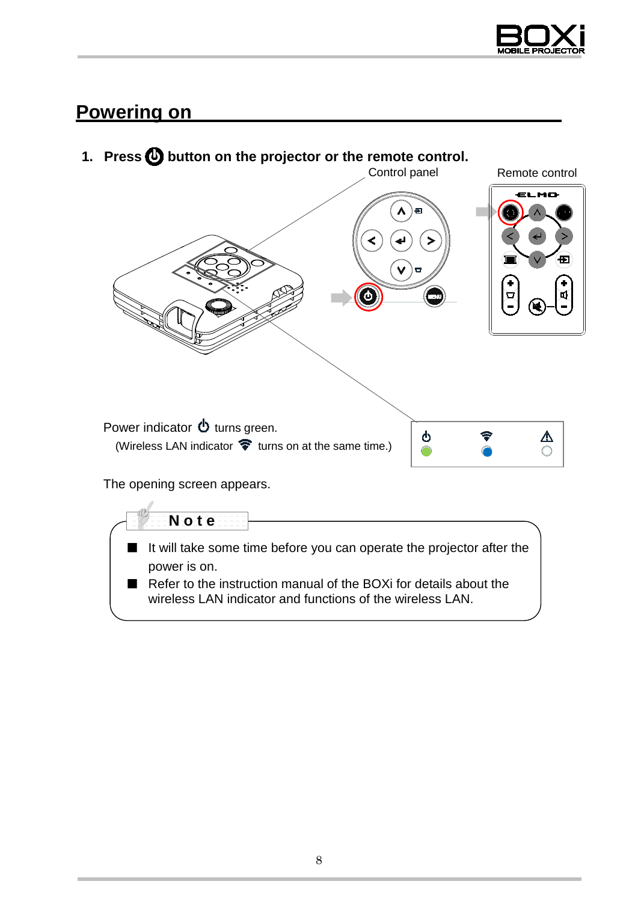

### <span id="page-7-0"></span>**Powering on**



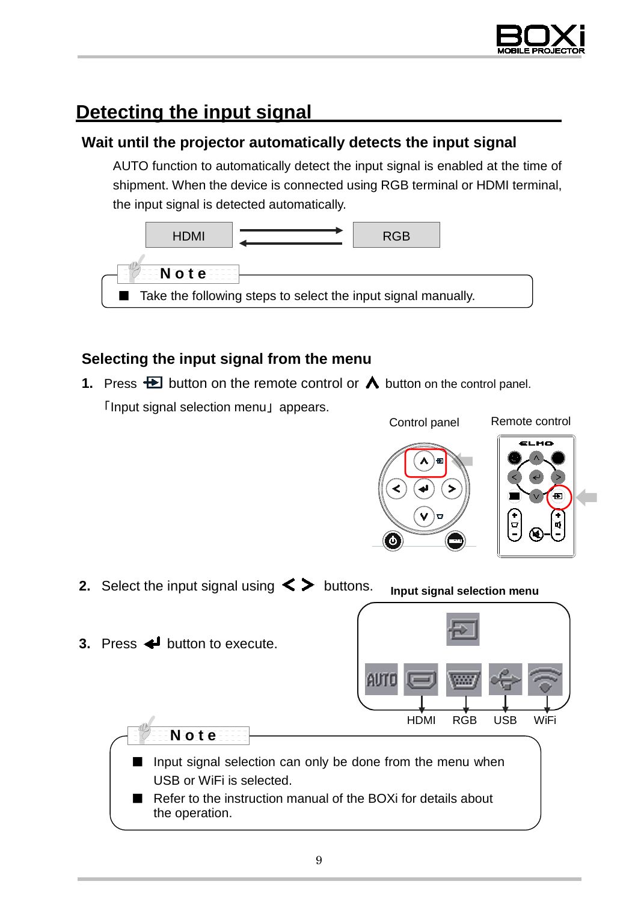

# <span id="page-8-0"></span>**Detecting the input signal**

#### **Wait until the projector automatically detects the input signal**

AUTO function to automatically detect the input signal is enabled at the time of shipment. When the device is connected using RGB terminal or HDMI terminal, the input signal is detected automatically.



#### **Selecting the input signal from the menu**

**1.** Press  $\bigoplus$  button on the remote control or  $\bigwedge$  button on the control panel. 「Input signal selection menu」 appears.

Control panel Remote control

- **2.** Select the input signal using  $\leq$  buttons. **Input signal selection menu**
- **3.** Press  $\triangleleft$  button to execute.



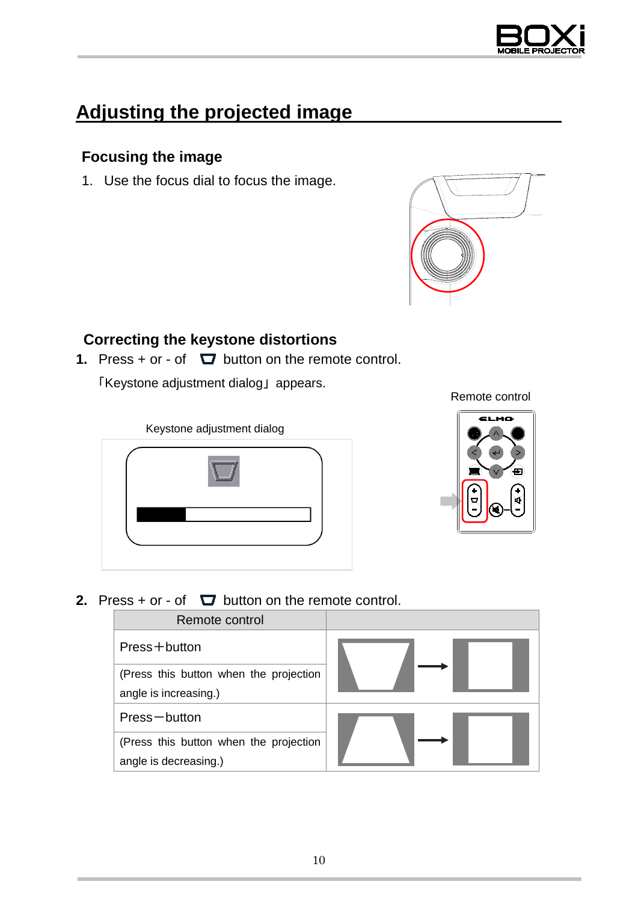

## <span id="page-9-0"></span>**Adjusting the projected image**

#### **Focusing the image**

1. Use the focus dial to focus the image.



#### **Correcting the keystone distortions**

**1.** Press  $+$  or  $-$  of  $\Box$  button on the remote control.

「Keystone adjustment dialog」 appears.



#### Remote control



**2.** Press + or - of  $\Box$  button on the remote control.

| Remote control                         |  |  |
|----------------------------------------|--|--|
| Press+button                           |  |  |
| (Press this button when the projection |  |  |
| angle is increasing.)                  |  |  |
| Press-button                           |  |  |
| (Press this button when the projection |  |  |
| angle is decreasing.)                  |  |  |
|                                        |  |  |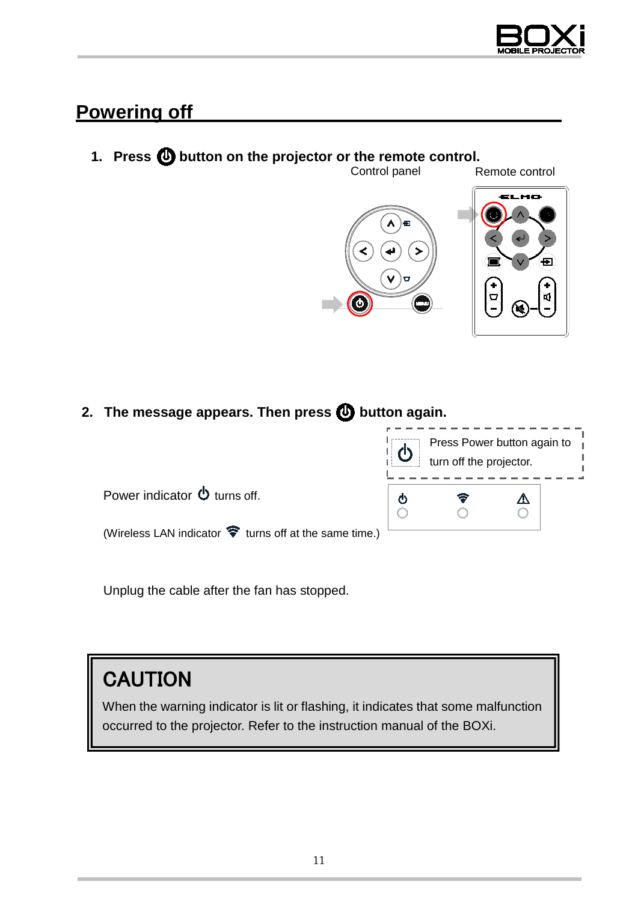

#### <span id="page-10-0"></span>**Powering off**

# **1. Press**  $\bigcirc$  **button on the projector or the remote control.**<br>Control panel



2. The message appears. Then press **<b>b** button again.



Unplug the cable after the fan has stopped.

# **CAUTION**

When the warning indicator is lit or flashing, it indicates that some malfunction occurred to the projector. Refer to the instruction manual of the BOXi.